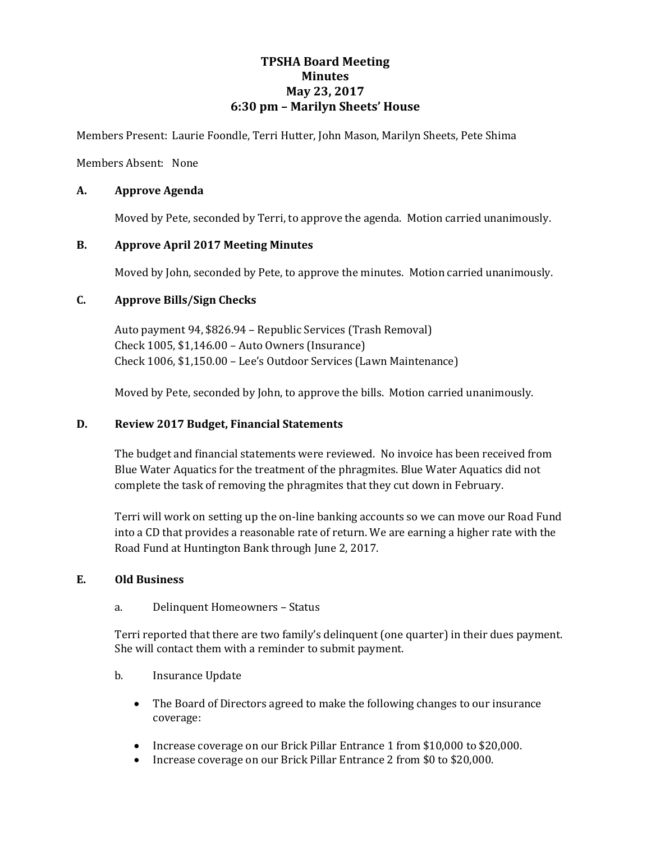# **TPSHA Board Meeting Minutes May 23, 2017 6:30 pm – Marilyn Sheets' House**

Members Present: Laurie Foondle, Terri Hutter, John Mason, Marilyn Sheets, Pete Shima

Members Absent: None

# **A. Approve Agenda**

Moved by Pete, seconded by Terri, to approve the agenda. Motion carried unanimously.

# **B. Approve April 2017 Meeting Minutes**

Moved by John, seconded by Pete, to approve the minutes. Motion carried unanimously.

# **C. Approve Bills/Sign Checks**

Auto payment 94, \$826.94 – Republic Services (Trash Removal) Check 1005, \$1,146.00 – Auto Owners (Insurance) Check 1006, \$1,150.00 – Lee's Outdoor Services (Lawn Maintenance)

Moved by Pete, seconded by John, to approve the bills. Motion carried unanimously.

## **D. Review 2017 Budget, Financial Statements**

The budget and financial statements were reviewed. No invoice has been received from Blue Water Aquatics for the treatment of the phragmites. Blue Water Aquatics did not complete the task of removing the phragmites that they cut down in February.

Terri will work on setting up the on-line banking accounts so we can move our Road Fund into a CD that provides a reasonable rate of return. We are earning a higher rate with the Road Fund at Huntington Bank through June 2, 2017.

## **E. Old Business**

## a. Delinquent Homeowners – Status

Terri reported that there are two family's delinquent (one quarter) in their dues payment. She will contact them with a reminder to submit payment.

- b. Insurance Update
	- The Board of Directors agreed to make the following changes to our insurance coverage:
	- Increase coverage on our Brick Pillar Entrance 1 from \$10,000 to \$20,000.
	- Increase coverage on our Brick Pillar Entrance 2 from \$0 to \$20,000.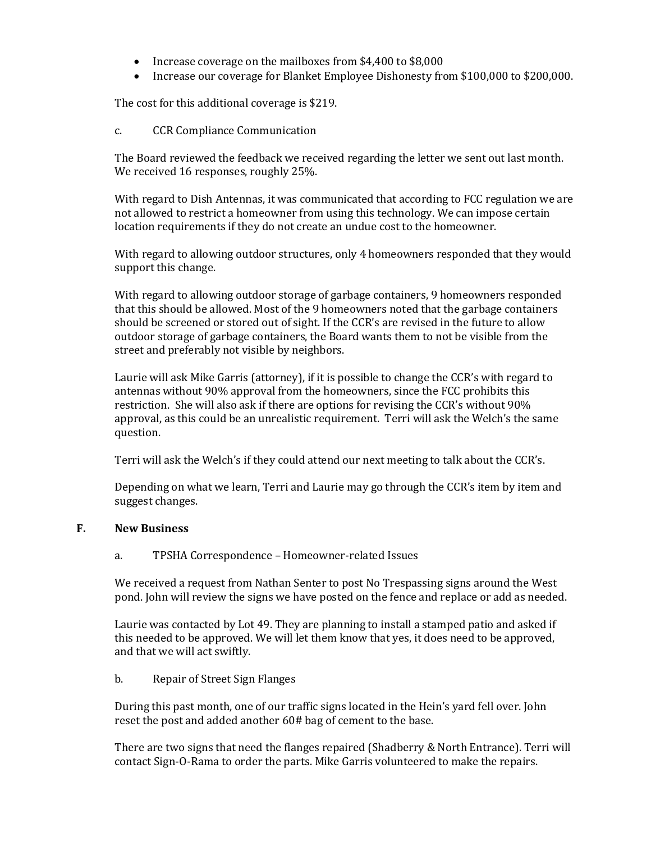- Increase coverage on the mailboxes from \$4,400 to \$8,000
- Increase our coverage for Blanket Employee Dishonesty from \$100,000 to \$200,000.

The cost for this additional coverage is \$219.

c. CCR Compliance Communication

The Board reviewed the feedback we received regarding the letter we sent out last month. We received 16 responses, roughly 25%.

With regard to Dish Antennas, it was communicated that according to FCC regulation we are not allowed to restrict a homeowner from using this technology. We can impose certain location requirements if they do not create an undue cost to the homeowner.

With regard to allowing outdoor structures, only 4 homeowners responded that they would support this change.

With regard to allowing outdoor storage of garbage containers, 9 homeowners responded that this should be allowed. Most of the 9 homeowners noted that the garbage containers should be screened or stored out of sight. If the CCR's are revised in the future to allow outdoor storage of garbage containers, the Board wants them to not be visible from the street and preferably not visible by neighbors.

Laurie will ask Mike Garris (attorney), if it is possible to change the CCR's with regard to antennas without 90% approval from the homeowners, since the FCC prohibits this restriction. She will also ask if there are options for revising the CCR's without 90% approval, as this could be an unrealistic requirement. Terri will ask the Welch's the same question.

Terri will ask the Welch's if they could attend our next meeting to talk about the CCR's.

Depending on what we learn, Terri and Laurie may go through the CCR's item by item and suggest changes.

## **F. New Business**

## a. TPSHA Correspondence – Homeowner-related Issues

We received a request from Nathan Senter to post No Trespassing signs around the West pond. John will review the signs we have posted on the fence and replace or add as needed.

Laurie was contacted by Lot 49. They are planning to install a stamped patio and asked if this needed to be approved. We will let them know that yes, it does need to be approved, and that we will act swiftly.

## b. Repair of Street Sign Flanges

During this past month, one of our traffic signs located in the Hein's yard fell over. John reset the post and added another 60# bag of cement to the base.

There are two signs that need the flanges repaired (Shadberry & North Entrance). Terri will contact Sign-O-Rama to order the parts. Mike Garris volunteered to make the repairs.